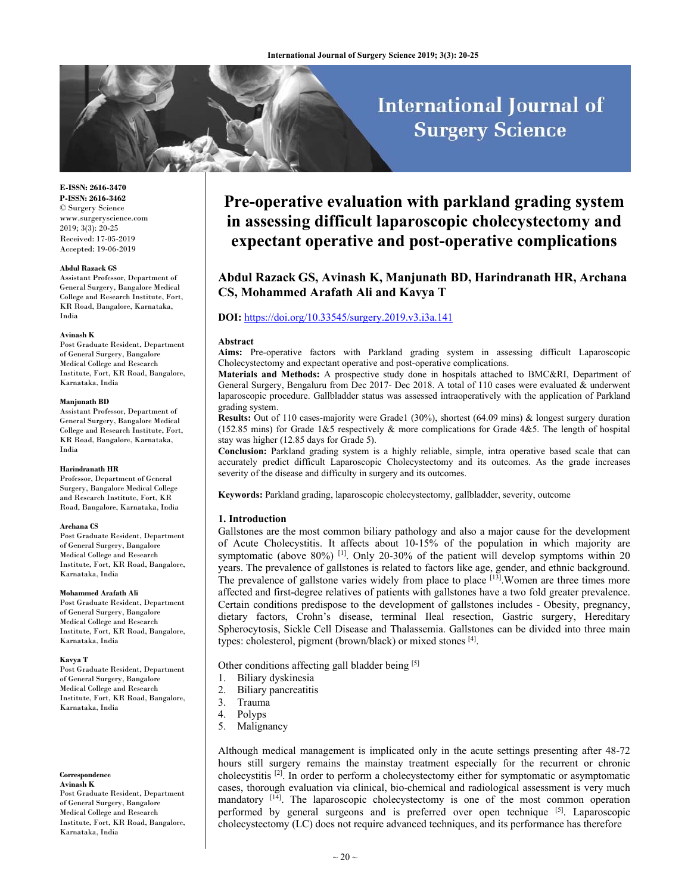# **International Journal of Surgery Science**

**E-ISSN: 2616-3470 P-ISSN: 2616-3462** © Surgery Science www.surgeryscience.com 2019; 3(3): 20-25 Received: 17-05-2019 Accepted: 19-06-2019

#### **Abdul Razack GS**

Assistant Professor, Department of General Surgery, Bangalore Medical College and Research Institute, Fort, KR Road, Bangalore, Karnataka, India

#### **Avinash K**

Post Graduate Resident, Department of General Surgery, Bangalore Medical College and Research Institute, Fort, KR Road, Bangalore, Karnataka, India

#### **Manjunath BD**

Assistant Professor, Department of General Surgery, Bangalore Medical College and Research Institute, Fort, KR Road, Bangalore, Karnataka, India

#### **Harindranath HR**

Professor, Department of General Surgery, Bangalore Medical College and Research Institute, Fort, KR Road, Bangalore, Karnataka, India

#### **Archana CS**

Post Graduate Resident, Department of General Surgery, Bangalore Medical College and Research Institute, Fort, KR Road, Bangalore, Karnataka, India

#### **Mohammed Arafath Ali**

Post Graduate Resident, Department of General Surgery, Bangalore Medical College and Research Institute, Fort, KR Road, Bangalore, Karnataka, India

#### **Kavya T**

Post Graduate Resident, Department of General Surgery, Bangalore Medical College and Research Institute, Fort, KR Road, Bangalore, Karnataka, India

**Correspondence Avinash K**

Post Graduate Resident, Department of General Surgery, Bangalore Medical College and Research Institute, Fort, KR Road, Bangalore, Karnataka, India

## **Pre-operative evaluation with parkland grading system in assessing difficult laparoscopic cholecystectomy and expectant operative and post-operative complications**

### **Abdul Razack GS, Avinash K, Manjunath BD, Harindranath HR, Archana CS, Mohammed Arafath Ali and Kavya T**

#### **DOI:** https://doi.org/10.33545/surgery.2019.v3.i3a.141

#### **Abstract**

**Aims:** Pre-operative factors with Parkland grading system in assessing difficult Laparoscopic Cholecystectomy and expectant operative and post-operative complications.

**Materials and Methods:** A prospective study done in hospitals attached to BMC&RI, Department of General Surgery, Bengaluru from Dec 2017- Dec 2018. A total of 110 cases were evaluated & underwent laparoscopic procedure. Gallbladder status was assessed intraoperatively with the application of Parkland grading system.

**Results:** Out of 110 cases-majority were Grade1 (30%), shortest (64.09 mins) & longest surgery duration (152.85 mins) for Grade 1&5 respectively & more complications for Grade 4&5. The length of hospital stay was higher (12.85 days for Grade 5).

**Conclusion:** Parkland grading system is a highly reliable, simple, intra operative based scale that can accurately predict difficult Laparoscopic Cholecystectomy and its outcomes. As the grade increases severity of the disease and difficulty in surgery and its outcomes.

**Keywords:** Parkland grading, laparoscopic cholecystectomy, gallbladder, severity, outcome

#### **1. Introduction**

Gallstones are the most common biliary pathology and also a major cause for the development of Acute Cholecystitis. It affects about 10-15% of the population in which majority are symptomatic (above 80%) <sup>[1]</sup>. Only 20-30% of the patient will develop symptoms within 20 years. The prevalence of gallstones is related to factors like age, gender, and ethnic background. The prevalence of gallstone varies widely from place to place  $[13]$ . Women are three times more affected and first-degree relatives of patients with gallstones have a two fold greater prevalence. Certain conditions predispose to the development of gallstones includes - Obesity, pregnancy, dietary factors, Crohn's disease, terminal Ileal resection, Gastric surgery, Hereditary Spherocytosis, Sickle Cell Disease and Thalassemia. Gallstones can be divided into three main types: cholesterol, pigment (brown/black) or mixed stones [4].

Other conditions affecting gall bladder being [5]

- 1. Biliary dyskinesia
- 2. Biliary pancreatitis
- 3. Trauma
- 4. Polyps
- 5. Malignancy

Although medical management is implicated only in the acute settings presenting after 48-72 hours still surgery remains the mainstay treatment especially for the recurrent or chronic cholecystitis [2]. In order to perform a cholecystectomy either for symptomatic or asymptomatic cases, thorough evaluation via clinical, bio-chemical and radiological assessment is very much mandatory  $[14]$ . The laparoscopic cholecystectomy is one of the most common operation performed by general surgeons and is preferred over open technique [5]. Laparoscopic cholecystectomy (LC) does not require advanced techniques, and its performance has therefore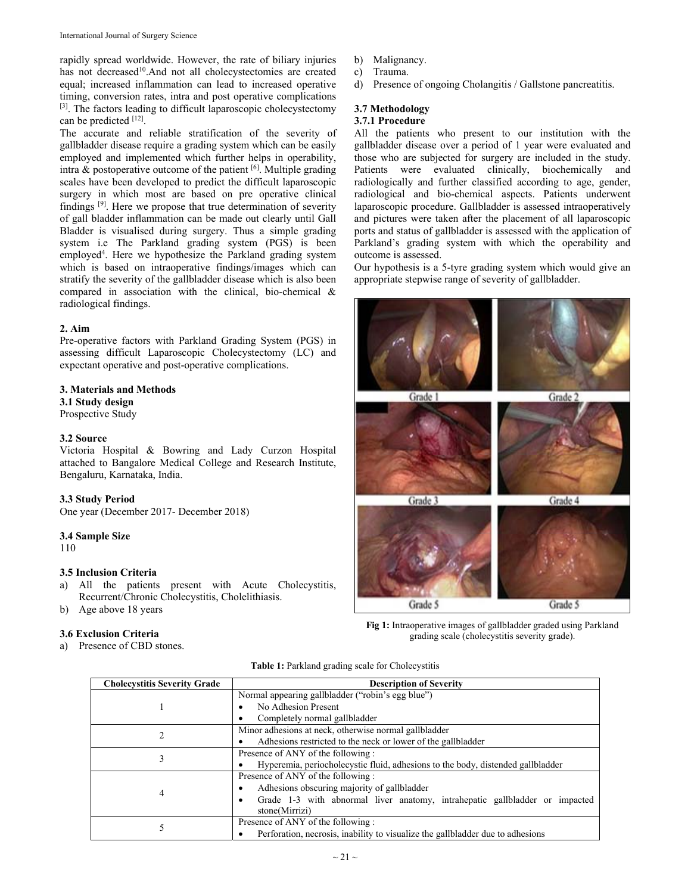rapidly spread worldwide. However, the rate of biliary injuries has not decreased<sup>10</sup>.And not all cholecystectomies are created equal; increased inflammation can lead to increased operative timing, conversion rates, intra and post operative complications [3]. The factors leading to difficult laparoscopic cholecystectomy can be predicted [12].

The accurate and reliable stratification of the severity of gallbladder disease require a grading system which can be easily employed and implemented which further helps in operability, intra  $\&$  postoperative outcome of the patient  $\left[6\right]$ . Multiple grading scales have been developed to predict the difficult laparoscopic surgery in which most are based on pre operative clinical findings [9]. Here we propose that true determination of severity of gall bladder inflammation can be made out clearly until Gall Bladder is visualised during surgery. Thus a simple grading system i.e The Parkland grading system (PGS) is been employed<sup>4</sup>. Here we hypothesize the Parkland grading system which is based on intraoperative findings/images which can stratify the severity of the gallbladder disease which is also been compared in association with the clinical, bio-chemical & radiological findings.

#### **2. Aim**

Pre-operative factors with Parkland Grading System (PGS) in assessing difficult Laparoscopic Cholecystectomy (LC) and expectant operative and post-operative complications.

### **3. Materials and Methods**

**3.1 Study design** 

Prospective Study

### **3.2 Source**

Victoria Hospital & Bowring and Lady Curzon Hospital attached to Bangalore Medical College and Research Institute, Bengaluru, Karnataka, India.

#### **3.3 Study Period**

One year (December 2017- December 2018)

#### **3.4 Sample Size**

110

### **3.5 Inclusion Criteria**

- a) All the patients present with Acute Cholecystitis, Recurrent/Chronic Cholecystitis, Cholelithiasis.
- b) Age above 18 years

### **3.6 Exclusion Criteria**

a) Presence of CBD stones.

- b) Malignancy.
- c) Trauma.
- d) Presence of ongoing Cholangitis / Gallstone pancreatitis.

### **3.7 Methodology**

### **3.7.1 Procedure**

All the patients who present to our institution with the gallbladder disease over a period of 1 year were evaluated and those who are subjected for surgery are included in the study. Patients were evaluated clinically, biochemically and radiologically and further classified according to age, gender, radiological and bio-chemical aspects. Patients underwent laparoscopic procedure. Gallbladder is assessed intraoperatively and pictures were taken after the placement of all laparoscopic ports and status of gallbladder is assessed with the application of Parkland's grading system with which the operability and outcome is assessed.

Our hypothesis is a 5-tyre grading system which would give an appropriate stepwise range of severity of gallbladder.



**Fig 1:** Intraoperative images of gallbladder graded using Parkland grading scale (cholecystitis severity grade).

|  |  |  | Table 1: Parkland grading scale for Cholecystitis |  |
|--|--|--|---------------------------------------------------|--|
|  |  |  |                                                   |  |

| <b>Cholecystitis Severity Grade</b> | <b>Description of Severity</b>                                                  |  |  |  |  |
|-------------------------------------|---------------------------------------------------------------------------------|--|--|--|--|
|                                     | Normal appearing gallbladder ("robin's egg blue")                               |  |  |  |  |
|                                     | No Adhesion Present                                                             |  |  |  |  |
|                                     | Completely normal gallbladder                                                   |  |  |  |  |
|                                     | Minor adhesions at neck, otherwise normal gallbladder                           |  |  |  |  |
|                                     | Adhesions restricted to the neck or lower of the gallbladder                    |  |  |  |  |
| 3                                   | Presence of ANY of the following :                                              |  |  |  |  |
|                                     | Hyperemia, periocholecystic fluid, adhesions to the body, distended gallbladder |  |  |  |  |
|                                     | Presence of ANY of the following:                                               |  |  |  |  |
|                                     | Adhesions obscuring majority of gallbladder                                     |  |  |  |  |
| 4                                   | Grade 1-3 with abnormal liver anatomy, intrahepatic gallbladder or impacted     |  |  |  |  |
|                                     | stone(Mirrizi)                                                                  |  |  |  |  |
|                                     | Presence of ANY of the following :                                              |  |  |  |  |
|                                     | Perforation, necrosis, inability to visualize the gallbladder due to adhesions  |  |  |  |  |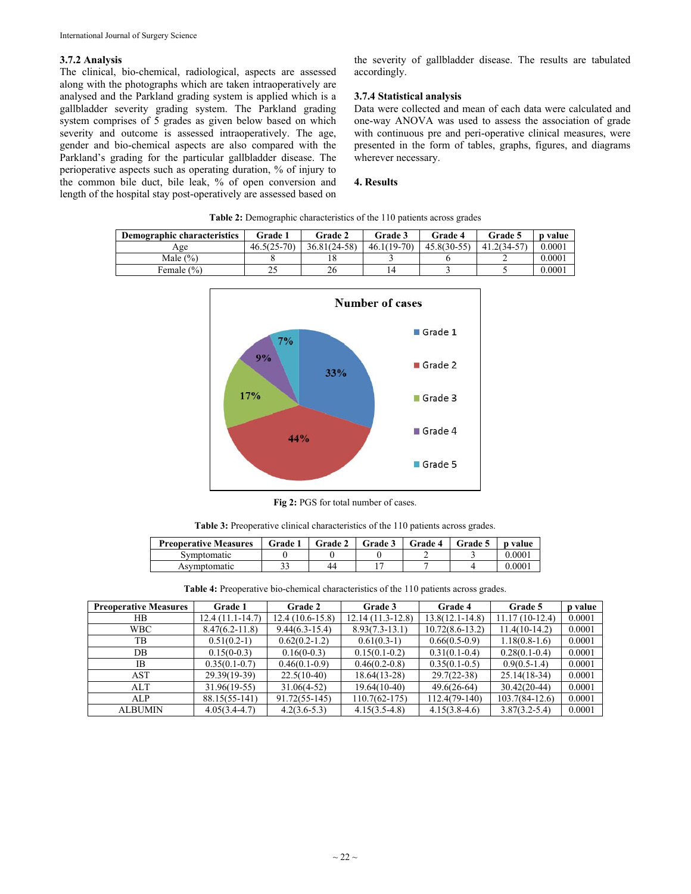#### **3.7.2 Analysis**

The clinical, bio-chemical, radiological, aspects are assessed along with the photographs which are taken intraoperatively are analysed and the Parkland grading system is applied which is a gallbladder severity grading system. The Parkland grading system comprises of 5 grades as given below based on which severity and outcome is assessed intraoperatively. The age, gender and bio-chemical aspects are also compared with the Parkland's grading for the particular gallbladder disease. The perioperative aspects such as operating duration, % of injury to the common bile duct, bile leak, % of open conversion and length of the hospital stay post-operatively are assessed based on the severity of gallbladder disease. The results are tabulated accordingly.

#### **3.7.4 Statistical analysis**

Data were collected and mean of each data were calculated and one-way ANOVA was used to assess the association of grade with continuous pre and peri-operative clinical measures, were presented in the form of tables, graphs, figures, and diagrams wherever necessary.

#### **4. Results**

| Demographic characteristics | <b>Grade 1</b> | Grade 2      | Grade 3       | Grade 4       | Grade 5       | <b>p</b> value |
|-----------------------------|----------------|--------------|---------------|---------------|---------------|----------------|
| Age                         | $46.5(25-70)$  | 36.81(24-58) | $46.1(19-70)$ | $45.8(30-55)$ | $41.2(34-57)$ | 0.0001         |
| Male $(\% )$                |                |              |               |               |               | 0.0001         |
| Female (%)                  |                |              |               |               |               | 0.0001         |

**Table 2:** Demographic characteristics of the 110 patients across grades



**Fig 2:** PGS for total number of cases.

**Table 3:** Preoperative clinical characteristics of the 110 patients across grades.

| <b>Preoperative Measures</b> | Grade 1 | Grade 2 | Grade 3 | <b>Grade 4</b> | Grade 5 | <b>p</b> value |
|------------------------------|---------|---------|---------|----------------|---------|----------------|
| Svmptomatic                  |         |         |         |                |         | 0.0001         |
| Asymptomatic                 |         | 44      |         |                |         | 9.0001         |

**Table 4:** Preoperative bio-chemical characteristics of the 110 patients across grades.

| <b>Preoperative Measures</b> | Grade 1            | <b>Grade 2</b>     | Grade 3            | Grade 4             | Grade 5           | p value |
|------------------------------|--------------------|--------------------|--------------------|---------------------|-------------------|---------|
| HB.                          | $12.4(11.1-14.7)$  | $12.4(10.6-15.8)$  | $12.14(11.3-12.8)$ | $13.8(12.1 - 14.8)$ | $11.17(10-12.4)$  | 0.0001  |
| <b>WBC</b>                   | $8.47(6.2 - 11.8)$ | $9.44(6.3 - 15.4)$ | $8.93(7.3-13.1)$   | $10.72(8.6 - 13.2)$ | $11.4(10-14.2)$   | 0.0001  |
| TB                           | $0.51(0.2-1)$      | $0.62(0.2-1.2)$    | $0.61(0.3-1)$      | $0.66(0.5-0.9)$     | $1.18(0.8-1.6)$   | 0.0001  |
| DB                           | $0.15(0-0.3)$      | $0.16(0-0.3)$      | $0.15(0.1-0.2)$    | $0.31(0.1-0.4)$     | $0.28(0.1-0.4)$   | 0.0001  |
| IB.                          | $0.35(0.1-0.7)$    | $0.46(0.1-0.9)$    | $0.46(0.2-0.8)$    | $0.35(0.1-0.5)$     | $0.9(0.5-1.4)$    | 0.0001  |
| AST                          | 29.39(19-39)       | $22.5(10-40)$      | $18.64(13-28)$     | $29.7(22-38)$       | $25.14(18-34)$    | 0.0001  |
| ALT                          | $31.96(19-55)$     | $31.06(4-52)$      | $19.64(10-40)$     | $49.6(26-64)$       | $30.42(20-44)$    | 0.0001  |
| ALP                          | $88.15(55-141)$    | $91.72(55-145)$    | $110.7(62 - 175)$  | 112.4(79-140)       | $103.7(84-12.6)$  | 0.0001  |
| <b>ALBUMIN</b>               | $4.05(3.4-4.7)$    | $4.2(3.6-5.3)$     | $4.15(3.5-4.8)$    | $4.15(3.8-4.6)$     | $3.87(3.2 - 5.4)$ | 0.0001  |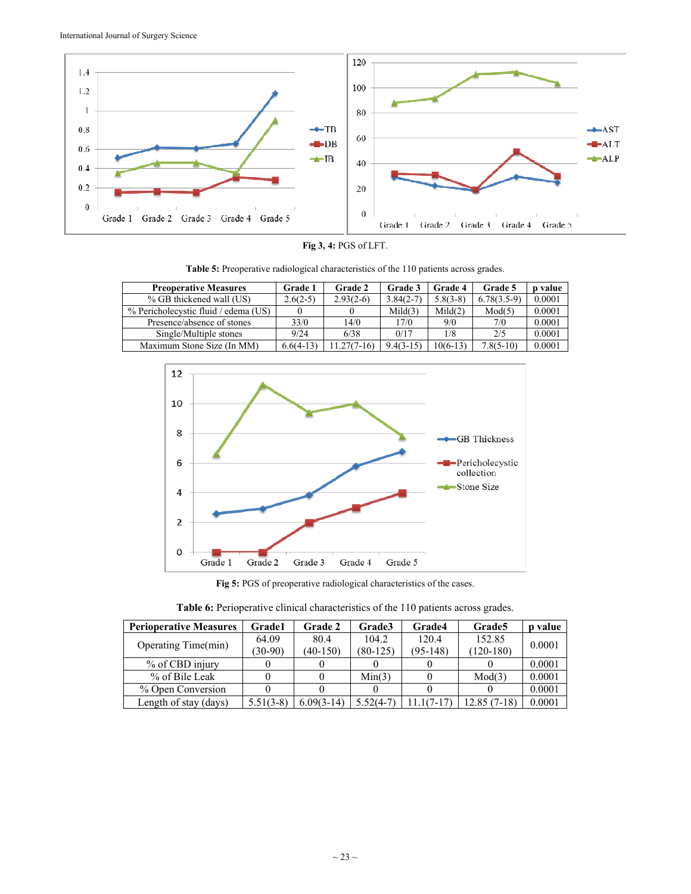

**Fig 3, 4:** PGS of LFT.

**Table 5:** Preoperative radiological characteristics of the 110 patients across grades.

| <b>Preoperative Measures</b>         | Grade 1     | <b>Grade 2</b> | Grade 3     | <b>Grade 4</b> | Grade 5       | o value |
|--------------------------------------|-------------|----------------|-------------|----------------|---------------|---------|
| % GB thickened wall (US)             | $2.6(2-5)$  | $2.93(2-6)$    | $3.84(2-7)$ | $5.8(3-8)$     | $6.78(3.5-9)$ | 0.0001  |
| % Pericholecystic fluid / edema (US) |             |                | Mid(3)      | Mid(2)         | Mod(5)        | 0.0001  |
| Presence/absence of stones           | 33/0        | 14/0           | 17/0        | 9/0            | 7/0           | 0.0001  |
| Single/Multiple stones               | 9/24        | 6/38           | 0/17        | 1/8            | 2/5           | 0.0001  |
| Maximum Stone Size (In MM)           | $6.6(4-13)$ | $1.27(7-16)$   | $9.4(3-15)$ | $10(6-13)$     | $7.8(5-10)$   | 0.0001  |



**Fig 5:** PGS of preoperative radiological characteristics of the cases.

| Table 6: Perioperative clinical characteristics of the 110 patients across grades. |  |  |
|------------------------------------------------------------------------------------|--|--|
|------------------------------------------------------------------------------------|--|--|

| <b>Perioperative Measures</b> | <b>Grade1</b> | <b>Grade 2</b> | <b>Grade3</b> | Grade4     | Grade <sub>5</sub> | value  |
|-------------------------------|---------------|----------------|---------------|------------|--------------------|--------|
|                               | 64.09         | 80.4           | 104.2         | 120.4      | 152.85             | 0.0001 |
| Operating Time(min)           | $(30-90)$     | $(40-150)$     | $(80-125)$    | $(95-148)$ | $(120-180)$        |        |
| % of CBD injury               |               |                |               |            |                    | 0.0001 |
| % of Bile Leak                |               |                | Min(3)        |            | Mod(3)             | 0.0001 |
| % Open Conversion             |               |                |               |            |                    | 0.0001 |
| Length of stay (days)         | $5.51(3-8)$   | $6.09(3-14)$   | 5.52(4-7)     | $1(7-17)$  | 12.85 (7-18)       | 0.0001 |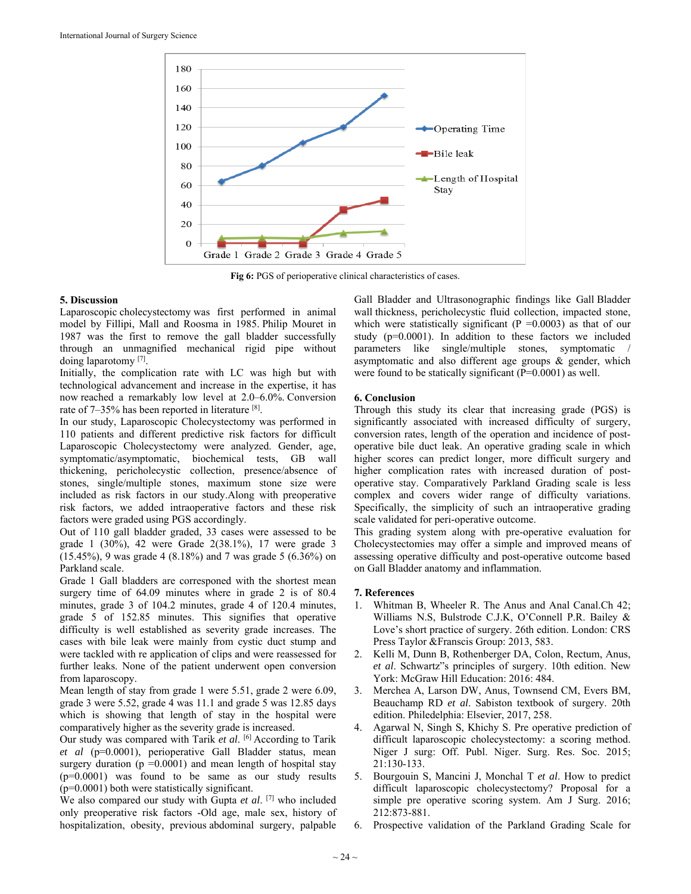

**Fig 6:** PGS of perioperative clinical characteristics of cases.

### **5. Discussion**

Laparoscopic cholecystectomy was first performed in animal model by Fillipi, Mall and Roosma in 1985. Philip Mouret in 1987 was the first to remove the gall bladder successfully through an unmagnified mechanical rigid pipe without doing laparotomy [7].

Initially, the complication rate with LC was high but with technological advancement and increase in the expertise, it has now reached a remarkably low level at 2.0–6.0%. Conversion rate of 7–35% has been reported in literature [8].

In our study, Laparoscopic Cholecystectomy was performed in 110 patients and different predictive risk factors for difficult Laparoscopic Cholecystectomy were analyzed. Gender, age, symptomatic/asymptomatic, biochemical tests, GB wall thickening, pericholecystic collection, presence/absence of stones, single/multiple stones, maximum stone size were included as risk factors in our study.Along with preoperative risk factors, we added intraoperative factors and these risk factors were graded using PGS accordingly.

Out of 110 gall bladder graded, 33 cases were assessed to be grade 1 (30%), 42 were Grade 2(38.1%), 17 were grade 3 (15.45%), 9 was grade 4 (8.18%) and 7 was grade 5 (6.36%) on Parkland scale.

Grade 1 Gall bladders are corresponed with the shortest mean surgery time of 64.09 minutes where in grade 2 is of 80.4 minutes, grade 3 of 104.2 minutes, grade 4 of 120.4 minutes, grade 5 of 152.85 minutes. This signifies that operative difficulty is well established as severity grade increases. The cases with bile leak were mainly from cystic duct stump and were tackled with re application of clips and were reassessed for further leaks. None of the patient underwent open conversion from laparoscopy.

Mean length of stay from grade 1 were 5.51, grade 2 were 6.09, grade 3 were 5.52, grade 4 was 11.1 and grade 5 was 12.85 days which is showing that length of stay in the hospital were comparatively higher as the severity grade is increased.

Our study was compared with Tarik *et al*. [6] According to Tarik *et al* (p=0.0001), perioperative Gall Bladder status, mean surgery duration ( $p = 0.0001$ ) and mean length of hospital stay (p=0.0001) was found to be same as our study results  $(p=0.0001)$  both were statistically significant.

We also compared our study with Gupta *et al*. [7] who included only preoperative risk factors -Old age, male sex, history of hospitalization, obesity, previous abdominal surgery, palpable

Gall Bladder and Ultrasonographic findings like Gall Bladder wall thickness, pericholecystic fluid collection, impacted stone, which were statistically significant ( $P = 0.0003$ ) as that of our study  $(p=0.0001)$ . In addition to these factors we included parameters like single/multiple stones, symptomatic / asymptomatic and also different age groups & gender, which were found to be statically significant  $(P=0.0001)$  as well.

### **6. Conclusion**

Through this study its clear that increasing grade (PGS) is significantly associated with increased difficulty of surgery, conversion rates, length of the operation and incidence of postoperative bile duct leak. An operative grading scale in which higher scores can predict longer, more difficult surgery and higher complication rates with increased duration of postoperative stay. Comparatively Parkland Grading scale is less complex and covers wider range of difficulty variations. Specifically, the simplicity of such an intraoperative grading scale validated for peri-operative outcome.

This grading system along with pre-operative evaluation for Cholecystectomies may offer a simple and improved means of assessing operative difficulty and post-operative outcome based on Gall Bladder anatomy and inflammation.

### **7. References**

- 1. Whitman B, Wheeler R. The Anus and Anal Canal.Ch 42; Williams N.S, Bulstrode C.J.K, O'Connell P.R. Bailey & Love's short practice of surgery. 26th edition. London: CRS Press Taylor &Franscis Group: 2013, 583.
- 2. Kelli M, Dunn B, Rothenberger DA, Colon, Rectum, Anus, *et al*. Schwartz"s principles of surgery. 10th edition. New York: McGraw Hill Education: 2016: 484.
- 3. Merchea A, Larson DW, Anus, Townsend CM, Evers BM, Beauchamp RD *et al*. Sabiston textbook of surgery. 20th edition. Philedelphia: Elsevier, 2017, 258.
- 4. Agarwal N, Singh S, Khichy S. Pre operative prediction of difficult laparoscopic cholecystectomy: a scoring method. Niger J surg: Off. Publ. Niger. Surg. Res. Soc. 2015; 21:130-133.
- 5. Bourgouin S, Mancini J, Monchal T *et al*. How to predict difficult laparoscopic cholecystectomy? Proposal for a simple pre operative scoring system. Am J Surg. 2016; 212:873-881.
- 6. Prospective validation of the Parkland Grading Scale for